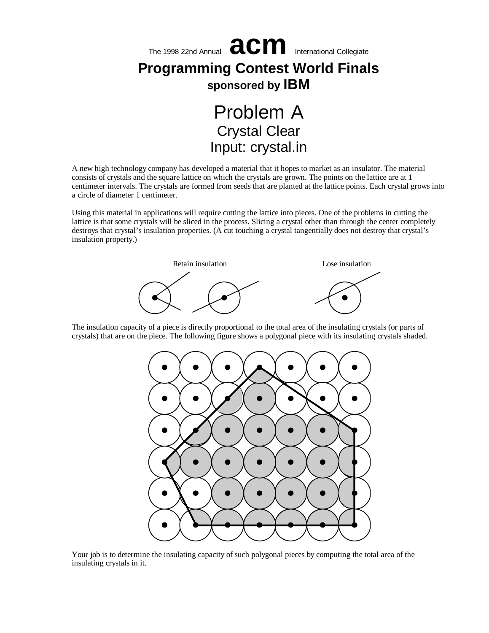

A new high technology company has developed a material that it hopes to market as an insulator. The material consists of crystals and the square lattice on which the crystals are grown. The points on the lattice are at 1 centimeter intervals. The crystals are formed from seeds that are planted at the lattice points. Each crystal grows into a circle of diameter 1 centimeter.

Using this material in applications will require cutting the lattice into pieces. One of the problems in cutting the lattice is that some crystals will be sliced in the process. Slicing a crystal other than through the center completely destroys that crystal's insulation properties. (A cut touching a crystal tangentially does not destroy that crystal's insulation property.)



The insulation capacity of a piece is directly proportional to the total area of the insulating crystals (or parts of crystals) that are on the piece. The following figure shows a polygonal piece with its insulating crystals shaded.



Your job is to determine the insulating capacity of such polygonal pieces by computing the total area of the insulating crystals in it.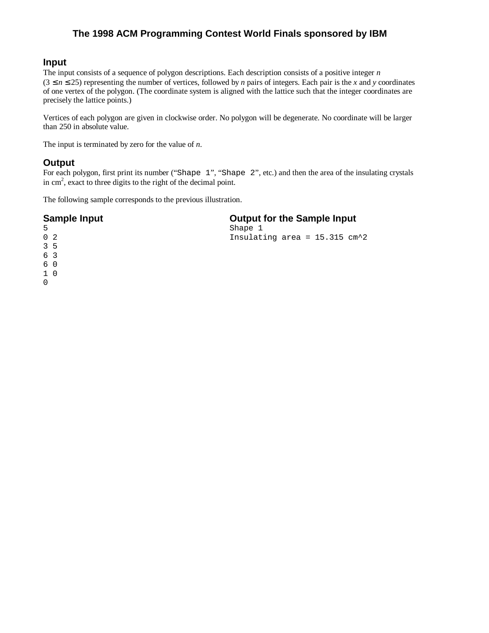# **Input**

The input consists of a sequence of polygon descriptions. Each description consists of a positive integer *n*  $(3 \le n \le 25)$  representing the number of vertices, followed by *n* pairs of integers. Each pair is the *x* and *y* coordinates of one vertex of the polygon. (The coordinate system is aligned with the lattice such that the integer coordinates are precisely the lattice points.)

Vertices of each polygon are given in clockwise order. No polygon will be degenerate. No coordinate will be larger than 250 in absolute value.

The input is terminated by zero for the value of *n*.

# **Output**

0

For each polygon, first print its number ("Shape 1", "Shape 2", etc.) and then the area of the insulating crystals in cm<sup>2</sup>, exact to three digits to the right of the decimal point.

The following sample corresponds to the previous illustration.

| <b>Sample Input</b> | <b>Output for the Sample Input</b>         |  |  |
|---------------------|--------------------------------------------|--|--|
| 5                   | Shape 1                                    |  |  |
| 0 <sub>2</sub>      | Insulating area = $15.315$ cm <sup>2</sup> |  |  |
| $3\overline{5}$     |                                            |  |  |
| 6 3                 |                                            |  |  |
| 60                  |                                            |  |  |
| $1\quad0$           |                                            |  |  |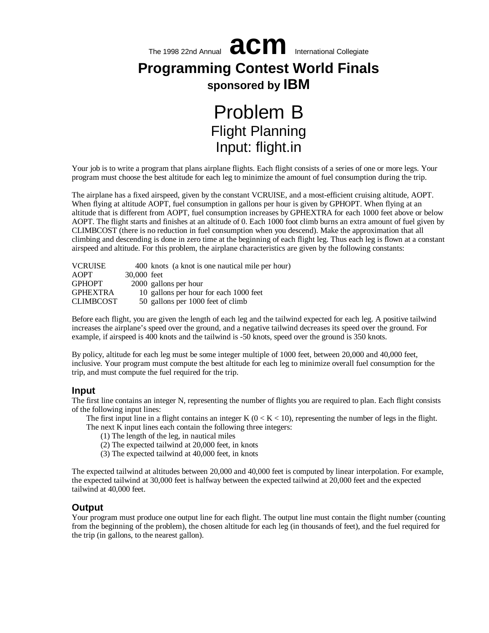

Your job is to write a program that plans airplane flights. Each flight consists of a series of one or more legs. Your program must choose the best altitude for each leg to minimize the amount of fuel consumption during the trip.

The airplane has a fixed airspeed, given by the constant VCRUISE, and a most-efficient cruising altitude, AOPT. When flying at altitude AOPT, fuel consumption in gallons per hour is given by GPHOPT. When flying at an altitude that is different from AOPT, fuel consumption increases by GPHEXTRA for each 1000 feet above or below AOPT. The flight starts and finishes at an altitude of 0. Each 1000 foot climb burns an extra amount of fuel given by CLIMBCOST (there is no reduction in fuel consumption when you descend). Make the approximation that all climbing and descending is done in zero time at the beginning of each flight leg. Thus each leg is flown at a constant airspeed and altitude. For this problem, the airplane characteristics are given by the following constants:

| <b>VCRUISE</b>   |             | 400 knots (a knot is one nautical mile per hour) |
|------------------|-------------|--------------------------------------------------|
| <b>AOPT</b>      | 30,000 feet |                                                  |
| <b>GPHOPT</b>    |             | 2000 gallons per hour                            |
| <b>GPHEXTRA</b>  |             | 10 gallons per hour for each 1000 feet           |
| <b>CLIMBCOST</b> |             | 50 gallons per 1000 feet of climb                |

Before each flight, you are given the length of each leg and the tailwind expected for each leg. A positive tailwind increases the airplane's speed over the ground, and a negative tailwind decreases its speed over the ground. For example, if airspeed is 400 knots and the tailwind is -50 knots, speed over the ground is 350 knots.

By policy, altitude for each leg must be some integer multiple of 1000 feet, between 20,000 and 40,000 feet, inclusive. Your program must compute the best altitude for each leg to minimize overall fuel consumption for the trip, and must compute the fuel required for the trip.

#### **Input**

The first line contains an integer N, representing the number of flights you are required to plan. Each flight consists of the following input lines:

The first input line in a flight contains an integer K  $(0 \lt K \lt 10)$ , representing the number of legs in the flight. The next K input lines each contain the following three integers:

- (1) The length of the leg, in nautical miles
- (2) The expected tailwind at 20,000 feet, in knots
- (3) The expected tailwind at 40,000 feet, in knots

The expected tailwind at altitudes between 20,000 and 40,000 feet is computed by linear interpolation. For example, the expected tailwind at 30,000 feet is halfway between the expected tailwind at 20,000 feet and the expected tailwind at 40,000 feet.

## **Output**

Your program must produce one output line for each flight. The output line must contain the flight number (counting from the beginning of the problem), the chosen altitude for each leg (in thousands of feet), and the fuel required for the trip (in gallons, to the nearest gallon).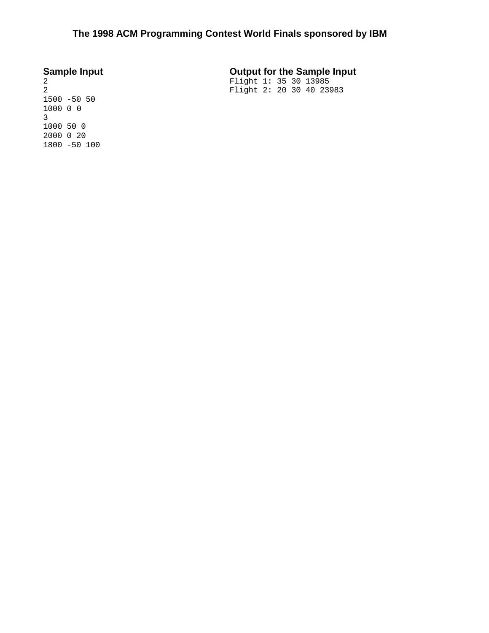# **Sample Input Output for the Sample Input**

Flight 1: 35 30 13985 Flight 2: 20 30 40 23983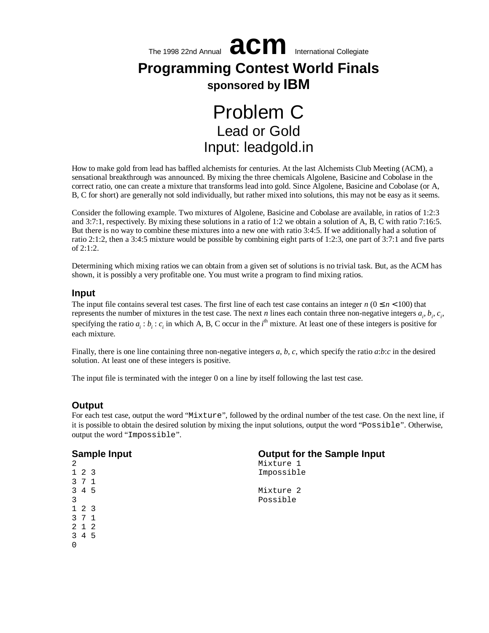

# Lead or Gold Input: leadgold.in

How to make gold from lead has baffled alchemists for centuries. At the last Alchemists Club Meeting (ACM), a sensational breakthrough was announced. By mixing the three chemicals Algolene, Basicine and Cobolase in the correct ratio, one can create a mixture that transforms lead into gold. Since Algolene, Basicine and Cobolase (or A, B, C for short) are generally not sold individually, but rather mixed into solutions, this may not be easy as it seems.

Consider the following example. Two mixtures of Algolene, Basicine and Cobolase are available, in ratios of 1:2:3 and 3:7:1, respectively. By mixing these solutions in a ratio of 1:2 we obtain a solution of A, B, C with ratio 7:16:5. But there is no way to combine these mixtures into a new one with ratio 3:4:5. If we additionally had a solution of ratio 2:1:2, then a 3:4:5 mixture would be possible by combining eight parts of 1:2:3, one part of 3:7:1 and five parts of 2:1:2.

Determining which mixing ratios we can obtain from a given set of solutions is no trivial task. But, as the ACM has shown, it is possibly a very profitable one. You must write a program to find mixing ratios.

#### **Input**

The input file contains several test cases. The first line of each test case contains an integer  $n (0 \le n < 100)$  that represents the number of mixtures in the test case. The next *n* lines each contain three non-negative integers  $a_i, b_i, c_i$ , specifying the ratio  $a_i$ :  $b_i$ :  $c_i$  in which A, B, C occur in the *i*<sup>th</sup> mixture. At least one of these integers is positive for each mixture.

Finally, there is one line containing three non-negative integers *a*, *b*, *c*, which specify the ratio *a*:*b*:*c* in the desired solution. At least one of these integers is positive.

The input file is terminated with the integer 0 on a line by itself following the last test case.

# **Output**

For each test case, output the word "Mixture", followed by the ordinal number of the test case. On the next line, if it is possible to obtain the desired solution by mixing the input solutions, output the word "Possible". Otherwise, output the word "Impossible".

| <b>Sample Input</b> | <b>Output for the Sample Input</b> |  |  |
|---------------------|------------------------------------|--|--|
| 2                   | Mixture 1                          |  |  |
| $1\quad2\quad3$     | Impossible                         |  |  |
| 3 7 1               |                                    |  |  |
| 3 4 5               | Mixture 2                          |  |  |
| 3                   | Possible                           |  |  |
| $1\quad2\quad3$     |                                    |  |  |
| 3 7 1               |                                    |  |  |
| 2 1 2               |                                    |  |  |
| 3 4 5               |                                    |  |  |
| $\Omega$            |                                    |  |  |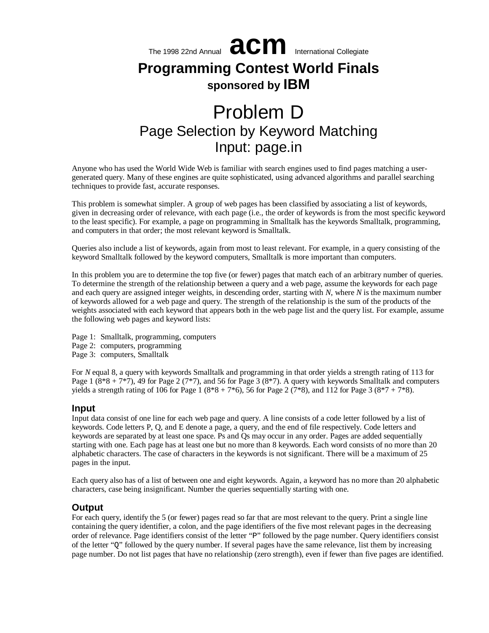

# Problem D Page Selection by Keyword Matching Input: page.in

Anyone who has used the World Wide Web is familiar with search engines used to find pages matching a usergenerated query. Many of these engines are quite sophisticated, using advanced algorithms and parallel searching techniques to provide fast, accurate responses.

This problem is somewhat simpler. A group of web pages has been classified by associating a list of keywords, given in decreasing order of relevance, with each page (i.e., the order of keywords is from the most specific keyword to the least specific). For example, a page on programming in Smalltalk has the keywords Smalltalk, programming, and computers in that order; the most relevant keyword is Smalltalk.

Queries also include a list of keywords, again from most to least relevant. For example, in a query consisting of the keyword Smalltalk followed by the keyword computers, Smalltalk is more important than computers.

In this problem you are to determine the top five (or fewer) pages that match each of an arbitrary number of queries. To determine the strength of the relationship between a query and a web page, assume the keywords for each page and each query are assigned integer weights, in descending order, starting with *N*, where *N* is the maximum number of keywords allowed for a web page and query. The strength of the relationship is the sum of the products of the weights associated with each keyword that appears both in the web page list and the query list. For example, assume the following web pages and keyword lists:

Page 1: Smalltalk, programming, computers Page 2: computers, programming Page 3: computers, Smalltalk

For *N* equal 8, a query with keywords Smalltalk and programming in that order yields a strength rating of 113 for Page 1  $(8*8 + 7*7)$ , 49 for Page 2  $(7*7)$ , and 56 for Page 3  $(8*7)$ . A query with keywords Smalltalk and computers yields a strength rating of 106 for Page 1 ( $8*8 + 7*6$ ), 56 for Page 2 ( $7*8$ ), and 112 for Page 3 ( $8*7 + 7*8$ ).

## **Input**

Input data consist of one line for each web page and query. A line consists of a code letter followed by a list of keywords. Code letters P, Q, and E denote a page, a query, and the end of file respectively. Code letters and keywords are separated by at least one space. Ps and Qs may occur in any order. Pages are added sequentially starting with one. Each page has at least one but no more than 8 keywords. Each word consists of no more than 20 alphabetic characters. The case of characters in the keywords is not significant. There will be a maximum of 25 pages in the input.

Each query also has of a list of between one and eight keywords. Again, a keyword has no more than 20 alphabetic characters, case being insignificant. Number the queries sequentially starting with one.

# **Output**

For each query, identify the 5 (or fewer) pages read so far that are most relevant to the query. Print a single line containing the query identifier, a colon, and the page identifiers of the five most relevant pages in the decreasing order of relevance. Page identifiers consist of the letter "P" followed by the page number. Query identifiers consist of the letter "Q" followed by the query number. If several pages have the same relevance, list them by increasing page number. Do not list pages that have no relationship (zero strength), even if fewer than five pages are identified.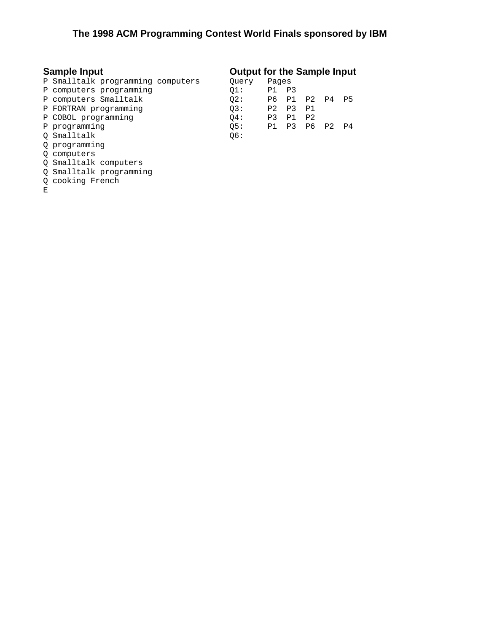- P Smalltalk programming computers
- P computers programming
- P computers Smalltalk
- P FORTRAN programming
- P COBOL programming
- P programming
- Q Smalltalk
- Q programming
- Q computers
- Q Smalltalk computers
- Q Smalltalk programming
- Q cooking French
- $\mathbf{E}$

# **Sample Input Output for the Sample Input**

| Query | Pages          |       |                |                |           |
|-------|----------------|-------|----------------|----------------|-----------|
| 01:   | Ρ1             | P3    |                |                |           |
| 02:   |                | P6 P1 | P <sub>2</sub> | P4             | <b>P5</b> |
| 03:   | P <sub>2</sub> | P3    | P <sub>1</sub> |                |           |
| 04:   | P3             | P1    | P <sub>2</sub> |                |           |
| OS:   | P1             | P3    | P6             | P <sub>2</sub> | P4        |
| Q6:   |                |       |                |                |           |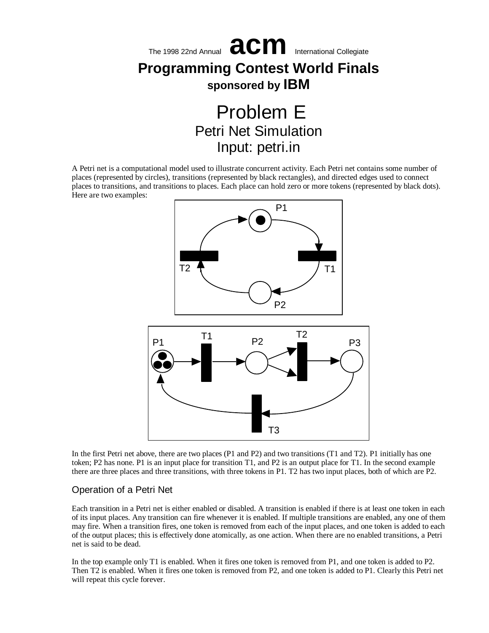

Input: petri.in

A Petri net is a computational model used to illustrate concurrent activity. Each Petri net contains some number of places (represented by circles), transitions (represented by black rectangles), and directed edges used to connect places to transitions, and transitions to places. Each place can hold zero or more tokens (represented by black dots). Here are two examples:



In the first Petri net above, there are two places (P1 and P2) and two transitions (T1 and T2). P1 initially has one token; P2 has none. P1 is an input place for transition T1, and P2 is an output place for T1. In the second example there are three places and three transitions, with three tokens in P1. T2 has two input places, both of which are P2.

# Operation of a Petri Net

Each transition in a Petri net is either enabled or disabled. A transition is enabled if there is at least one token in each of its input places. Any transition can fire whenever it is enabled. If multiple transitions are enabled, any one of them may fire. When a transition fires, one token is removed from each of the input places, and one token is added to each of the output places; this is effectively done atomically, as one action. When there are no enabled transitions, a Petri net is said to be dead.

In the top example only T1 is enabled. When it fires one token is removed from P1, and one token is added to P2. Then T2 is enabled. When it fires one token is removed from P2, and one token is added to P1. Clearly this Petri net will repeat this cycle forever.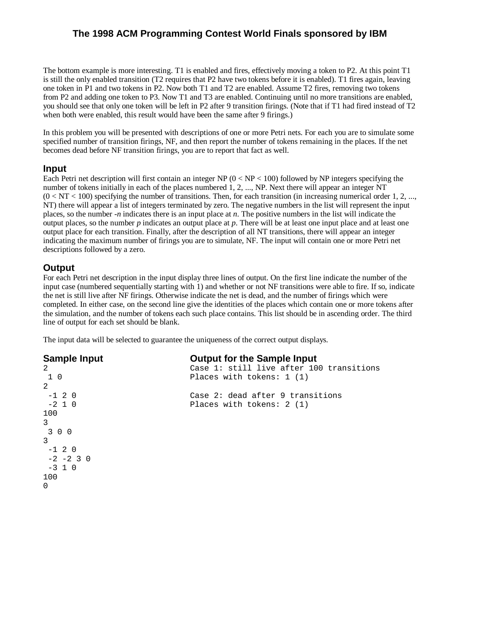The bottom example is more interesting. T1 is enabled and fires, effectively moving a token to P2. At this point T1 is still the only enabled transition (T2 requires that P2 have two tokens before it is enabled). T1 fires again, leaving one token in P1 and two tokens in P2. Now both T1 and T2 are enabled. Assume T2 fires, removing two tokens from P2 and adding one token to P3. Now T1 and T3 are enabled. Continuing until no more transitions are enabled, you should see that only one token will be left in P2 after 9 transition firings. (Note that if T1 had fired instead of T2 when both were enabled, this result would have been the same after 9 firings.)

In this problem you will be presented with descriptions of one or more Petri nets. For each you are to simulate some specified number of transition firings, NF, and then report the number of tokens remaining in the places. If the net becomes dead before NF transition firings, you are to report that fact as well.

## **Input**

Each Petri net description will first contain an integer NP  $(0 < NP < 100)$  followed by NP integers specifying the number of tokens initially in each of the places numbered 1, 2, ..., NP. Next there will appear an integer NT  $(0 < NT < 100)$  specifying the number of transitions. Then, for each transition (in increasing numerical order 1, 2, ..., NT) there will appear a list of integers terminated by zero. The negative numbers in the list will represent the input places, so the number -*n* indicates there is an input place at *n*. The positive numbers in the list will indicate the output places, so the number *p* indicates an output place at *p*. There will be at least one input place and at least one output place for each transition. Finally, after the description of all NT transitions, there will appear an integer indicating the maximum number of firings you are to simulate, NF. The input will contain one or more Petri net descriptions followed by a zero.

# **Output**

For each Petri net description in the input display three lines of output. On the first line indicate the number of the input case (numbered sequentially starting with 1) and whether or not NF transitions were able to fire. If so, indicate the net is still live after NF firings. Otherwise indicate the net is dead, and the number of firings which were completed. In either case, on the second line give the identities of the places which contain one or more tokens after the simulation, and the number of tokens each such place contains. This list should be in ascending order. The third line of output for each set should be blank.

The input data will be selected to guarantee the uniqueness of the correct output displays.

#### **Sample Input Output for the Sample Input**

Case 2: dead after 9 transitions

Places with tokens: 1 (1)

Places with tokens: 2 (1)

Case 1: still live after 100 transitions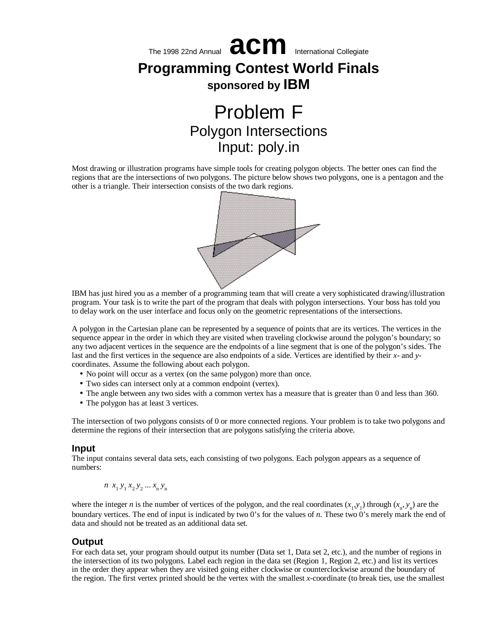

Most drawing or illustration programs have simple tools for creating polygon objects. The better ones can find the regions that are the intersections of two polygons. The picture below shows two polygons, one is a pentagon and the other is a triangle. Their intersection consists of the two dark regions.



IBM has just hired you as a member of a programming team that will create a very sophisticated drawing/illustration program. Your task is to write the part of the program that deals with polygon intersections. Your boss has told you to delay work on the user interface and focus only on the geometric representations of the intersections.

A polygon in the Cartesian plane can be represented by a sequence of points that are its vertices. The vertices in the sequence appear in the order in which they are visited when traveling clockwise around the polygon's boundary; so any two adjacent vertices in the sequence are the endpoints of a line segment that is one of the polygon's sides. The last and the first vertices in the sequence are also endpoints of a side. Vertices are identified by their *x*- and *y*coordinates. Assume the following about each polygon.

- •No point will occur as a vertex (on the same polygon) more than once.
- •Two sides can intersect only at a common endpoint (vertex).
- •The angle between any two sides with a common vertex has a measure that is greater than 0 and less than 360.
- The polygon has at least 3 vertices.

The intersection of two polygons consists of 0 or more connected regions. Your problem is to take two polygons and determine the regions of their intersection that are polygons satisfying the criteria above.

#### **Input**

The input contains several data sets, each consisting of two polygons. Each polygon appears as a sequence of numbers:

$$
n x_1 y_1 x_2 y_2 \dots x_n y_n
$$

where the integer *n* is the number of vertices of the polygon, and the real coordinates  $(x_1, y_1)$  through  $(x_n, y_n)$  are the boundary vertices. The end of input is indicated by two 0's for the values of *n*. These two 0's merely mark the end of data and should not be treated as an additional data set.

#### **Output**

For each data set, your program should output its number (Data set 1, Data set 2, etc.), and the number of regions in the intersection of its two polygons. Label each region in the data set (Region 1, Region 2, etc.) and list its vertices in the order they appear when they are visited going either clockwise or counterclockwise around the boundary of the region. The first vertex printed should be the vertex with the smallest *x*-coordinate (to break ties, use the smallest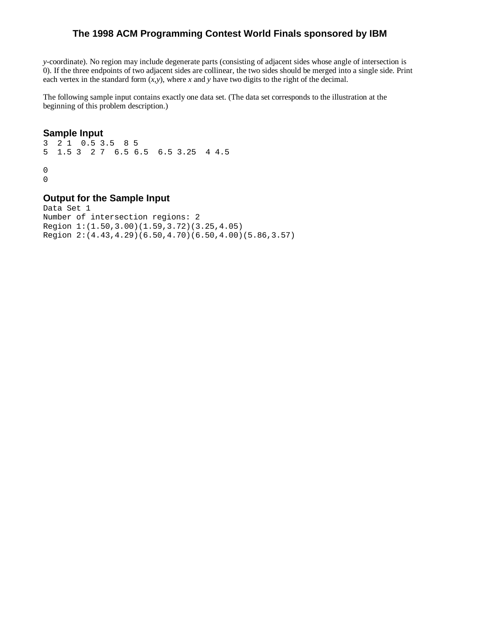*y*-coordinate). No region may include degenerate parts (consisting of adjacent sides whose angle of intersection is 0). If the three endpoints of two adjacent sides are collinear, the two sides should be merged into a single side. Print each vertex in the standard form  $(x, y)$ , where *x* and *y* have two digits to the right of the decimal.

The following sample input contains exactly one data set. (The data set corresponds to the illustration at the beginning of this problem description.)

#### **Sample Input**

3 2 1 0.5 3.5 8 5 5 1.5 3 2 7 6.5 6.5 6.5 3.25 4 4.5  $\,0$ 0

# **Output for the Sample Input**

Data Set 1 Number of intersection regions: 2 Region 1:(1.50,3.00)(1.59,3.72)(3.25,4.05) Region 2:(4.43,4.29)(6.50,4.70)(6.50,4.00)(5.86,3.57)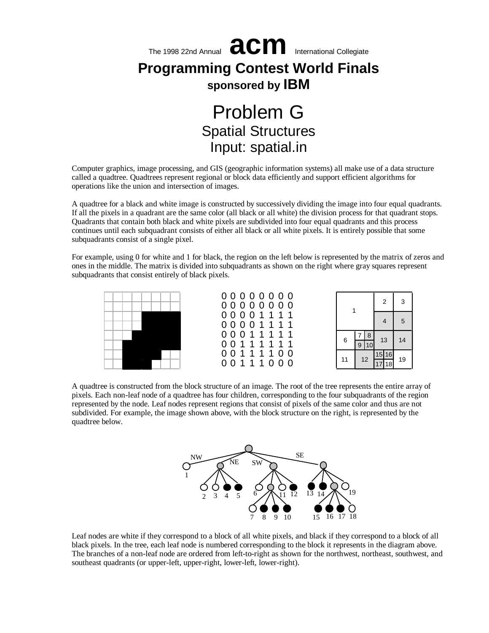

Computer graphics, image processing, and GIS (geographic information systems) all make use of a data structure called a quadtree. Quadtrees represent regional or block data efficiently and support efficient algorithms for operations like the union and intersection of images.

A quadtree for a black and white image is constructed by successively dividing the image into four equal quadrants. If all the pixels in a quadrant are the same color (all black or all white) the division process for that quadrant stops. Quadrants that contain both black and white pixels are subdivided into four equal quadrants and this process continues until each subquadrant consists of either all black or all white pixels. It is entirely possible that some subquadrants consist of a single pixel.

For example, using 0 for white and 1 for black, the region on the left below is represented by the matrix of zeros and ones in the middle. The matrix is divided into subquadrants as shown on the right where gray squares represent subquadrants that consist entirely of black pixels.



A quadtree is constructed from the block structure of an image. The root of the tree represents the entire array of pixels. Each non-leaf node of a quadtree has four children, corresponding to the four subquadrants of the region represented by the node. Leaf nodes represent regions that consist of pixels of the same color and thus are not subdivided. For example, the image shown above, with the block structure on the right, is represented by the quadtree below.



Leaf nodes are white if they correspond to a block of all white pixels, and black if they correspond to a block of all black pixels. In the tree, each leaf node is numbered corresponding to the block it represents in the diagram above. The branches of a non-leaf node are ordered from left-to-right as shown for the northwest, northeast, southwest, and southeast quadrants (or upper-left, upper-right, lower-left, lower-right).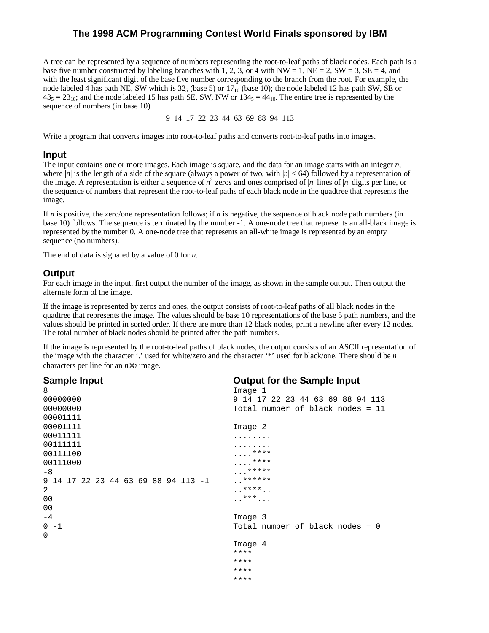A tree can be represented by a sequence of numbers representing the root-to-leaf paths of black nodes. Each path is a base five number constructed by labeling branches with 1, 2, 3, or 4 with NW = 1, NE = 2, SW = 3, SE = 4, and with the least significant digit of the base five number corresponding to the branch from the root. For example, the node labeled 4 has path NE, SW which is  $32<sub>5</sub>$  (base 5) or  $17<sub>10</sub>$  (base 10); the node labeled 12 has path SW, SE or  $43<sub>5</sub> = 23<sub>10</sub>$ ; and the node labeled 15 has path SE, SW, NW or  $134<sub>5</sub> = 44<sub>10</sub>$ . The entire tree is represented by the sequence of numbers (in base 10)

9 14 17 22 23 44 63 69 88 94 113

Write a program that converts images into root-to-leaf paths and converts root-to-leaf paths into images.

#### **Input**

The input contains one or more images. Each image is square, and the data for an image starts with an integer *n*, where  $|n|$  is the length of a side of the square (always a power of two, with  $|n| < 64$ ) followed by a representation of the image. A representation is either a sequence of  $n^2$  zeros and ones comprised of |*n*| lines of |*n*| digits per line, or the sequence of numbers that represent the root-to-leaf paths of each black node in the quadtree that represents the image.

If *n* is positive, the zero/one representation follows; if *n* is negative, the sequence of black node path numbers (in base 10) follows. The sequence is terminated by the number -1. A one-node tree that represents an all-black image is represented by the number 0. A one-node tree that represents an all-white image is represented by an empty sequence (no numbers).

The end of data is signaled by a value of 0 for *n*.

# **Output**

For each image in the input, first output the number of the image, as shown in the sample output. Then output the alternate form of the image.

If the image is represented by zeros and ones, the output consists of root-to-leaf paths of all black nodes in the quadtree that represents the image. The values should be base 10 representations of the base 5 path numbers, and the values should be printed in sorted order. If there are more than 12 black nodes, print a newline after every 12 nodes. The total number of black nodes should be printed after the path numbers.

If the image is represented by the root-to-leaf paths of black nodes, the output consists of an ASCII representation of the image with the character '.' used for white/zero and the character '\*' used for black/one. There should be *n* characters per line for an *n*×*n* image.

| <b>Sample Input</b>                 | <b>Output for the Sample Input</b> |
|-------------------------------------|------------------------------------|
| 8                                   | Image <sub>1</sub>                 |
| 00000000                            | 9 14 17 22 23 44 63 69 88 94 113   |
| 00000000                            | Total number of black nodes = 11   |
| 00001111                            |                                    |
| 00001111                            | Image 2                            |
| 00011111                            | .                                  |
| 00111111                            | .                                  |
| 00111100                            | $\cdots$ ****                      |
| 00111000                            | $\cdots$ ****                      |
| -8                                  | *****                              |
| 9 14 17 22 23 44 63 69 88 94 113 -1 | ******                             |
| 2                                   | $***$                              |
| 00                                  | $\ldots$ ***                       |
| 0 <sub>0</sub>                      |                                    |
| $-4$                                | Image <sub>3</sub>                 |
| $0 - 1$                             | Total number of black nodes = $0$  |
| $\Omega$                            |                                    |
|                                     | Image <sub>4</sub>                 |
|                                     | ****                               |
|                                     | ****                               |
|                                     | ****                               |
|                                     | ****                               |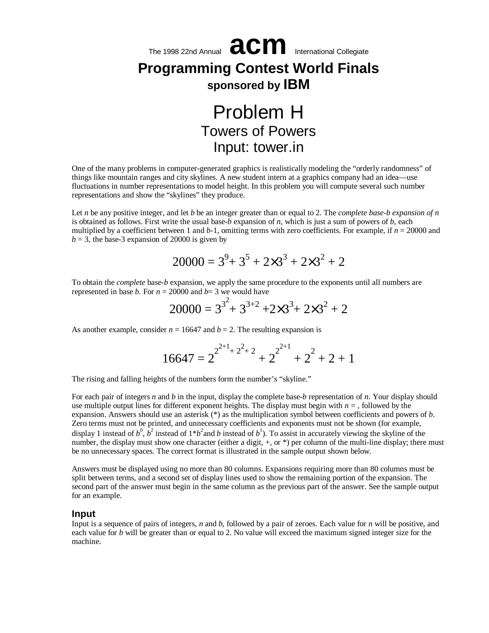

One of the many problems in computer-generated graphics is realistically modeling the "orderly randomness" of things like mountain ranges and city skylines. A new student intern at a graphics company had an idea— use fluctuations in number representations to model height. In this problem you will compute several such number representations and show the "skylines" they produce.

Let *n* be any positive integer, and let *b* be an integer greater than or equal to 2. The *complete base-b expansion of n* is obtained as follows. First write the usual base-*b* expansion of *n*, which is just a sum of powers of *b*, each multiplied by a coefficient between 1 and *b*-1, omitting terms with zero coefficients. For example, if *n* = 20000 and  $b = 3$ , the base-3 expansion of 20000 is given by

$$
20000 = 3^9 + 3^5 + 2 \times 3^3 + 2 \times 3^2 + 2
$$

To obtain the *complete* base-*b* expansion, we apply the same procedure to the exponents until all numbers are represented in base *b*. For  $n = 20000$  and  $b = 3$  we would have

$$
20000 = 3^{3^2} + 3^{3+2} + 2 \times 3^3 + 2 \times 3^2 + 2
$$

As another example, consider  $n = 16647$  and  $b = 2$ . The resulting expansion is

$$
16647 = 2^{2^{2+1}+2^2+2} + 2^{2^{2+1}} + 2^2 + 2 + 1
$$

The rising and falling heights of the numbers form the number's "skyline."

For each pair of integers *n* and *b* in the input, display the complete base-*b* representation of *n*. Your display should use multiple output lines for different exponent heights. The display must begin with  $n =$ , followed by the expansion. Answers should use an asterisk (\*) as the multiplication symbol between coefficients and powers of *b*. Zero terms must not be printed, and unnecessary coefficients and exponents must not be shown (for example, display 1 instead of  $b^0$ ,  $b^2$  instead of  $1*b^2$  and b instead of  $b^1$ ). To assist in accurately viewing the skyline of the number, the display must show one character (either a digit,  $+$ , or  $*$ ) per column of the multi-line display; there must be no unnecessary spaces. The correct format is illustrated in the sample output shown below.

Answers must be displayed using no more than 80 columns. Expansions requiring more than 80 columns must be split between terms, and a second set of display lines used to show the remaining portion of the expansion. The second part of the answer must begin in the same column as the previous part of the answer. See the sample output for an example.

#### **Input**

Input is a sequence of pairs of integers, *n* and *b*, followed by a pair of zeroes. Each value for *n* will be positive, and each value for *b* will be greater than or equal to 2. No value will exceed the maximum signed integer size for the machine.